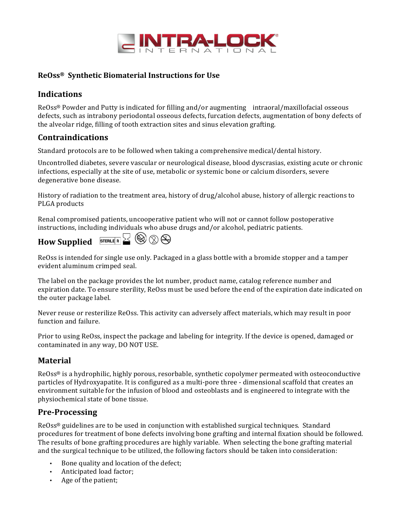

#### **ReOss® Synthetic Biomaterial Instructions for Use**

### **Indications**

 $ReOss^{\circ}$  Powder and Putty is indicated for filling and/or augmenting intraoral/maxillofacial osseous defects, such as intrabony periodontal osseous defects, furcation defects, augmentation of bony defects of the alveolar ridge, filling of tooth extraction sites and sinus elevation grafting.

#### **Contraindications**

Standard protocols are to be followed when taking a comprehensive medical/dental history.

Uncontrolled diabetes, severe vascular or neurological disease, blood dyscrasias, existing acute or chronic infections, especially at the site of use, metabolic or systemic bone or calcium disorders, severe degenerative bone disease.

History of radiation to the treatment area, history of drug/alcohol abuse, history of allergic reactions to PLGA products

Renal compromised patients, uncooperative patient who will not or cannot follow postoperative instructions, including individuals who abuse drugs and/or alcohol, pediatric patients.



ReOss is intended for single use only. Packaged in a glass bottle with a bromide stopper and a tamper evident aluminum crimped seal.

The label on the package provides the lot number, product name, catalog reference number and expiration date. To ensure sterility, ReOss must be used before the end of the expiration date indicated on the outer package label.

Never reuse or resterilize ReOss. This activity can adversely affect materials, which may result in poor function and failure.

Prior to using ReOss, inspect the package and labeling for integrity. If the device is opened, damaged or contaminated in any way, DO NOT USE.

### **Material**

 $ReOss^{\circledast}$  is a hydrophilic, highly porous, resorbable, synthetic copolymer permeated with osteoconductive particles of Hydroxyapatite. It is configured as a multi-pore three - dimensional scaffold that creates an environment suitable for the infusion of blood and osteoblasts and is engineered to integrate with the physiochemical state of bone tissue.

### **Pre-Processing**

ReOss<sup>®</sup> guidelines are to be used in conjunction with established surgical techniques. Standard procedures for treatment of bone defects involving bone grafting and internal fixation should be followed. The results of bone grafting procedures are highly variable. When selecting the bone grafting material and the surgical technique to be utilized, the following factors should be taken into consideration:

- Bone quality and location of the defect;
- Anticipated load factor;
- Age of the patient;